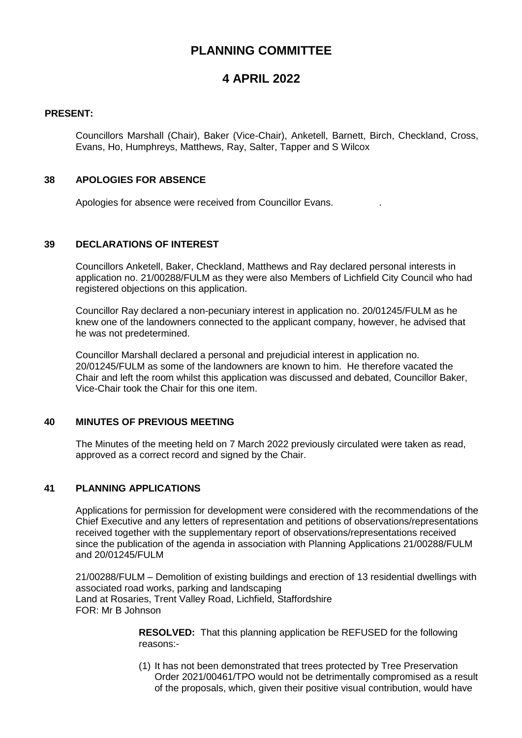# **PLANNING COMMITTEE**

## **4 APRIL 2022**

#### **PRESENT:**

Councillors Marshall (Chair), Baker (Vice-Chair), Anketell, Barnett, Birch, Checkland, Cross, Evans, Ho, Humphreys, Matthews, Ray, Salter, Tapper and S Wilcox

## **38 APOLOGIES FOR ABSENCE**

Apologies for absence were received from Councillor Evans. .

#### **39 DECLARATIONS OF INTEREST**

Councillors Anketell, Baker, Checkland, Matthews and Ray declared personal interests in application no. 21/00288/FULM as they were also Members of Lichfield City Council who had registered objections on this application.

Councillor Ray declared a non-pecuniary interest in application no. 20/01245/FULM as he knew one of the landowners connected to the applicant company, however, he advised that he was not predetermined.

Councillor Marshall declared a personal and prejudicial interest in application no. 20/01245/FULM as some of the landowners are known to him. He therefore vacated the Chair and left the room whilst this application was discussed and debated, Councillor Baker, Vice-Chair took the Chair for this one item.

## **40 MINUTES OF PREVIOUS MEETING**

The Minutes of the meeting held on 7 March 2022 previously circulated were taken as read, approved as a correct record and signed by the Chair.

## **41 PLANNING APPLICATIONS**

Applications for permission for development were considered with the recommendations of the Chief Executive and any letters of representation and petitions of observations/representations received together with the supplementary report of observations/representations received since the publication of the agenda in association with Planning Applications 21/00288/FULM and 20/01245/FULM

21/00288/FULM – Demolition of existing buildings and erection of 13 residential dwellings with associated road works, parking and landscaping Land at Rosaries, Trent Valley Road, Lichfield, Staffordshire FOR: Mr B Johnson

> **RESOLVED:** That this planning application be REFUSED for the following reasons:-

(1) It has not been demonstrated that trees protected by Tree Preservation Order 2021/00461/TPO would not be detrimentally compromised as a result of the proposals, which, given their positive visual contribution, would have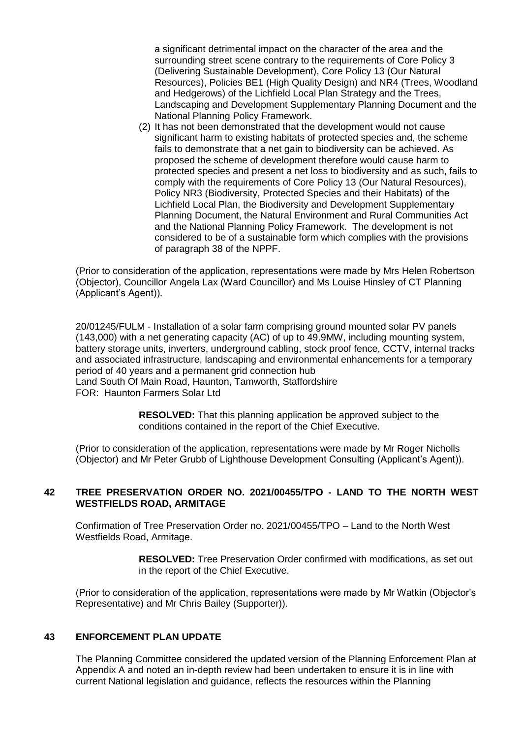a significant detrimental impact on the character of the area and the surrounding street scene contrary to the requirements of Core Policy 3 (Delivering Sustainable Development), Core Policy 13 (Our Natural Resources), Policies BE1 (High Quality Design) and NR4 (Trees, Woodland and Hedgerows) of the Lichfield Local Plan Strategy and the Trees, Landscaping and Development Supplementary Planning Document and the National Planning Policy Framework.

(2) It has not been demonstrated that the development would not cause significant harm to existing habitats of protected species and, the scheme fails to demonstrate that a net gain to biodiversity can be achieved. As proposed the scheme of development therefore would cause harm to protected species and present a net loss to biodiversity and as such, fails to comply with the requirements of Core Policy 13 (Our Natural Resources), Policy NR3 (Biodiversity, Protected Species and their Habitats) of the Lichfield Local Plan, the Biodiversity and Development Supplementary Planning Document, the Natural Environment and Rural Communities Act and the National Planning Policy Framework. The development is not considered to be of a sustainable form which complies with the provisions of paragraph 38 of the NPPF.

(Prior to consideration of the application, representations were made by Mrs Helen Robertson (Objector), Councillor Angela Lax (Ward Councillor) and Ms Louise Hinsley of CT Planning (Applicant's Agent)).

20/01245/FULM - Installation of a solar farm comprising ground mounted solar PV panels (143,000) with a net generating capacity (AC) of up to 49.9MW, including mounting system, battery storage units, inverters, underground cabling, stock proof fence, CCTV, internal tracks and associated infrastructure, landscaping and environmental enhancements for a temporary period of 40 years and a permanent grid connection hub Land South Of Main Road, Haunton, Tamworth, Staffordshire FOR: Haunton Farmers Solar Ltd

**RESOLVED:** That this planning application be approved subject to the conditions contained in the report of the Chief Executive.

(Prior to consideration of the application, representations were made by Mr Roger Nicholls (Objector) and Mr Peter Grubb of Lighthouse Development Consulting (Applicant's Agent)).

#### **42 TREE PRESERVATION ORDER NO. 2021/00455/TPO - LAND TO THE NORTH WEST WESTFIELDS ROAD, ARMITAGE**

Confirmation of Tree Preservation Order no. 2021/00455/TPO – Land to the North West Westfields Road, Armitage.

> **RESOLVED:** Tree Preservation Order confirmed with modifications, as set out in the report of the Chief Executive.

(Prior to consideration of the application, representations were made by Mr Watkin (Objector's Representative) and Mr Chris Bailey (Supporter)).

#### **43 ENFORCEMENT PLAN UPDATE**

The Planning Committee considered the updated version of the Planning Enforcement Plan at Appendix A and noted an in-depth review had been undertaken to ensure it is in line with current National legislation and guidance, reflects the resources within the Planning